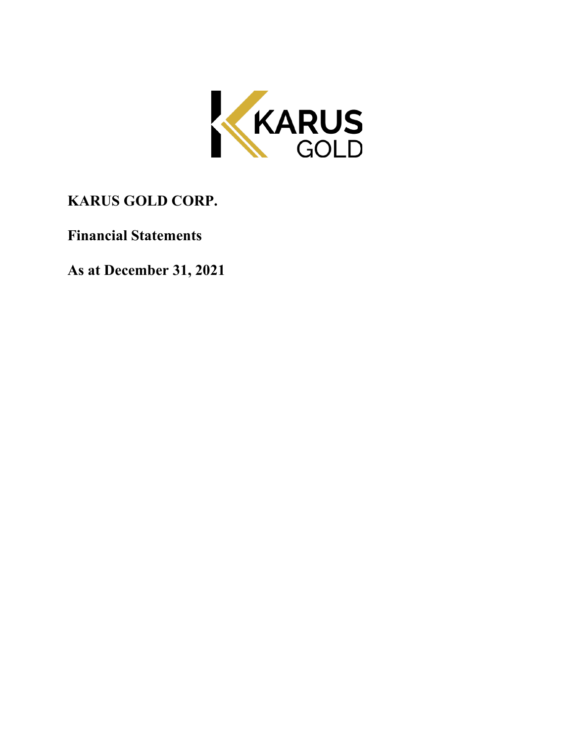

**KARUS GOLD CORP.** 

**Financial Statements**

**As at December 31, 2021**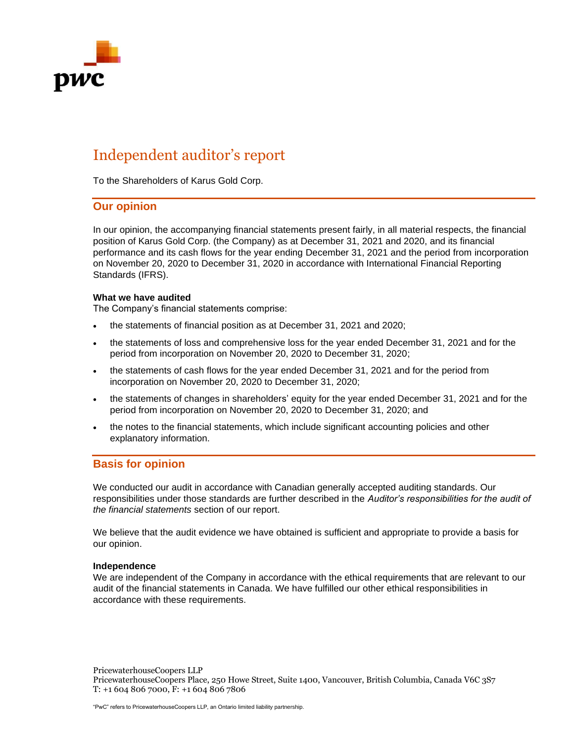

# Independent auditor's report

To the Shareholders of Karus Gold Corp.

# **Our opinion**

In our opinion, the accompanying financial statements present fairly, in all material respects, the financial position of Karus Gold Corp. (the Company) as at December 31, 2021 and 2020, and its financial performance and its cash flows for the year ending December 31, 2021 and the period from incorporation on November 20, 2020 to December 31, 2020 in accordance with International Financial Reporting Standards (IFRS).

# **What we have audited**

The Company's financial statements comprise:

- the statements of financial position as at December 31, 2021 and 2020;
- the statements of loss and comprehensive loss for the year ended December 31, 2021 and for the period from incorporation on November 20, 2020 to December 31, 2020;
- the statements of cash flows for the year ended December 31, 2021 and for the period from incorporation on November 20, 2020 to December 31, 2020;
- the statements of changes in shareholders' equity for the year ended December 31, 2021 and for the period from incorporation on November 20, 2020 to December 31, 2020; and
- the notes to the financial statements, which include significant accounting policies and other explanatory information.

# **Basis for opinion**

We conducted our audit in accordance with Canadian generally accepted auditing standards. Our responsibilities under those standards are further described in the *Auditor's responsibilities for the audit of the financial statements* section of our report.

We believe that the audit evidence we have obtained is sufficient and appropriate to provide a basis for our opinion.

# **Independence**

We are independent of the Company in accordance with the ethical requirements that are relevant to our audit of the financial statements in Canada. We have fulfilled our other ethical responsibilities in accordance with these requirements.

PricewaterhouseCoopers LLP PricewaterhouseCoopers Place, 250 Howe Street, Suite 1400, Vancouver, British Columbia, Canada V6C 3S7 T: +1 604 806 7000, F: +1 604 806 7806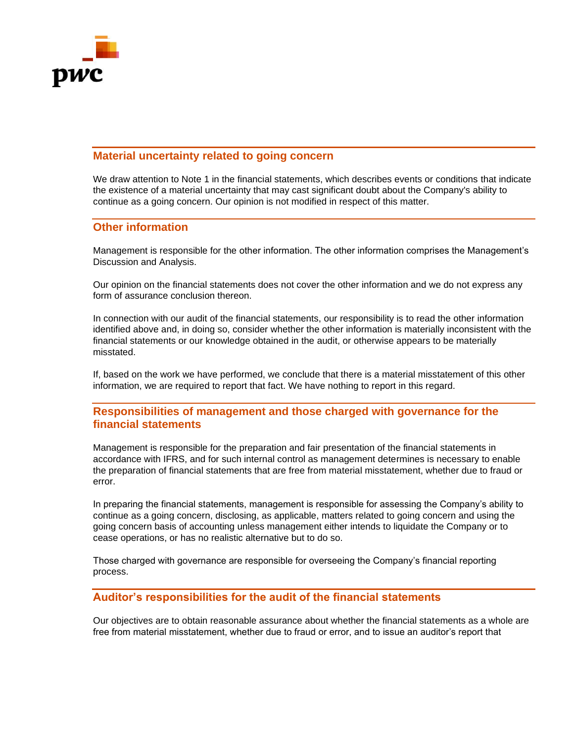

# **Material uncertainty related to going concern**

We draw attention to Note 1 in the financial statements, which describes events or conditions that indicate the existence of a material uncertainty that may cast significant doubt about the Company's ability to continue as a going concern. Our opinion is not modified in respect of this matter.

# **Other information**

Management is responsible for the other information. The other information comprises the Management's Discussion and Analysis.

Our opinion on the financial statements does not cover the other information and we do not express any form of assurance conclusion thereon.

In connection with our audit of the financial statements, our responsibility is to read the other information identified above and, in doing so, consider whether the other information is materially inconsistent with the financial statements or our knowledge obtained in the audit, or otherwise appears to be materially misstated.

If, based on the work we have performed, we conclude that there is a material misstatement of this other information, we are required to report that fact. We have nothing to report in this regard.

# **Responsibilities of management and those charged with governance for the financial statements**

Management is responsible for the preparation and fair presentation of the financial statements in accordance with IFRS, and for such internal control as management determines is necessary to enable the preparation of financial statements that are free from material misstatement, whether due to fraud or error.

In preparing the financial statements, management is responsible for assessing the Company's ability to continue as a going concern, disclosing, as applicable, matters related to going concern and using the going concern basis of accounting unless management either intends to liquidate the Company or to cease operations, or has no realistic alternative but to do so.

Those charged with governance are responsible for overseeing the Company's financial reporting process.

# **Auditor's responsibilities for the audit of the financial statements**

Our objectives are to obtain reasonable assurance about whether the financial statements as a whole are free from material misstatement, whether due to fraud or error, and to issue an auditor's report that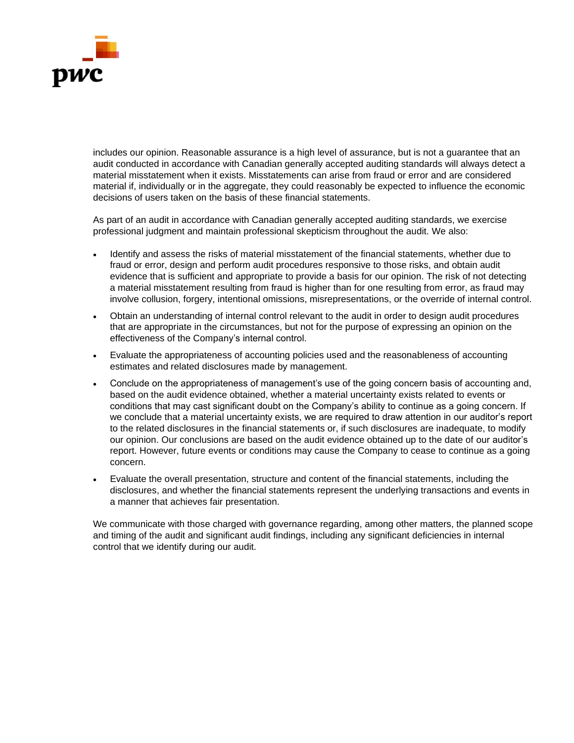

includes our opinion. Reasonable assurance is a high level of assurance, but is not a guarantee that an audit conducted in accordance with Canadian generally accepted auditing standards will always detect a material misstatement when it exists. Misstatements can arise from fraud or error and are considered material if, individually or in the aggregate, they could reasonably be expected to influence the economic decisions of users taken on the basis of these financial statements.

As part of an audit in accordance with Canadian generally accepted auditing standards, we exercise professional judgment and maintain professional skepticism throughout the audit. We also:

- Identify and assess the risks of material misstatement of the financial statements, whether due to fraud or error, design and perform audit procedures responsive to those risks, and obtain audit evidence that is sufficient and appropriate to provide a basis for our opinion. The risk of not detecting a material misstatement resulting from fraud is higher than for one resulting from error, as fraud may involve collusion, forgery, intentional omissions, misrepresentations, or the override of internal control.
- Obtain an understanding of internal control relevant to the audit in order to design audit procedures that are appropriate in the circumstances, but not for the purpose of expressing an opinion on the effectiveness of the Company's internal control.
- Evaluate the appropriateness of accounting policies used and the reasonableness of accounting estimates and related disclosures made by management.
- Conclude on the appropriateness of management's use of the going concern basis of accounting and, based on the audit evidence obtained, whether a material uncertainty exists related to events or conditions that may cast significant doubt on the Company's ability to continue as a going concern. If we conclude that a material uncertainty exists, we are required to draw attention in our auditor's report to the related disclosures in the financial statements or, if such disclosures are inadequate, to modify our opinion. Our conclusions are based on the audit evidence obtained up to the date of our auditor's report. However, future events or conditions may cause the Company to cease to continue as a going concern.
- Evaluate the overall presentation, structure and content of the financial statements, including the disclosures, and whether the financial statements represent the underlying transactions and events in a manner that achieves fair presentation.

We communicate with those charged with governance regarding, among other matters, the planned scope and timing of the audit and significant audit findings, including any significant deficiencies in internal control that we identify during our audit.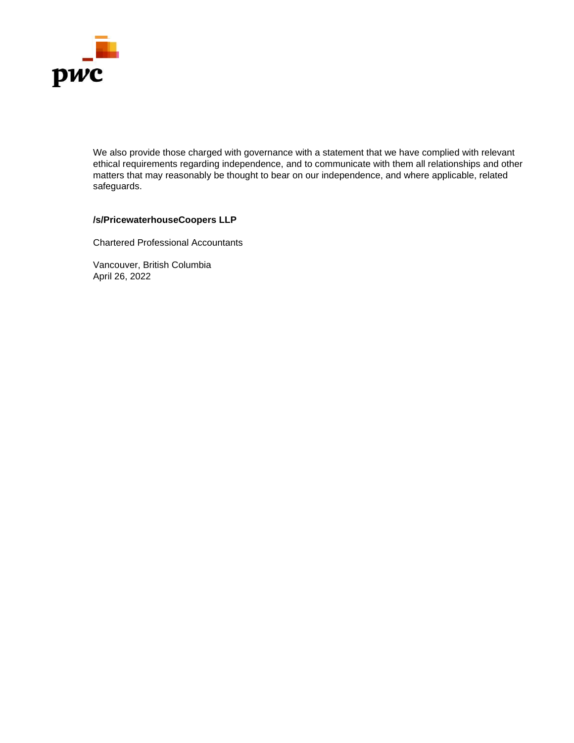

We also provide those charged with governance with a statement that we have complied with relevant ethical requirements regarding independence, and to communicate with them all relationships and other matters that may reasonably be thought to bear on our independence, and where applicable, related safeguards.

## **/s/PricewaterhouseCoopers LLP**

Chartered Professional Accountants

Vancouver, British Columbia April 26, 2022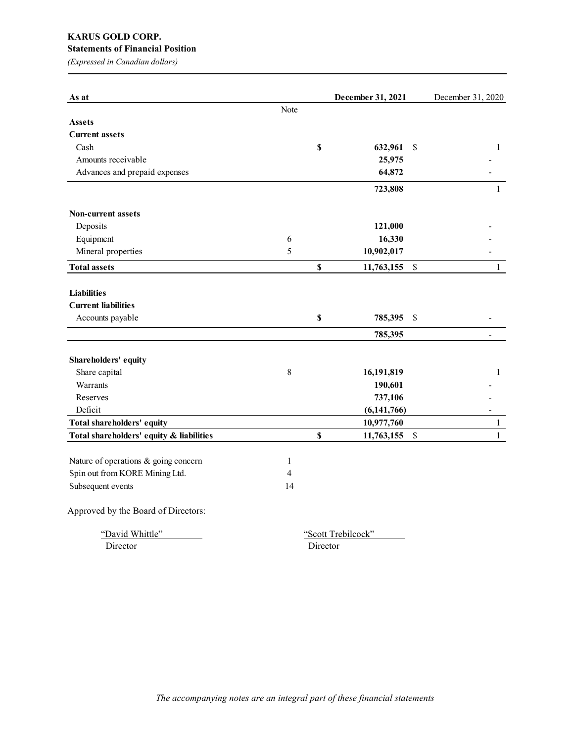# **KARUS GOLD CORP.**

# **Statements of Financial Position**

*(Expressed in Canadian dollars)*

| As at                                    |              |                           | December 31, 2021  |                           | December 31, 2020 |
|------------------------------------------|--------------|---------------------------|--------------------|---------------------------|-------------------|
|                                          | Note         |                           |                    |                           |                   |
| <b>Assets</b>                            |              |                           |                    |                           |                   |
| <b>Current assets</b>                    |              |                           |                    |                           |                   |
| Cash                                     |              | $\mathbb S$               | 632,961            | $\mathcal{S}$             | $\mathbf{1}$      |
| Amounts receivable                       |              |                           | 25,975             |                           |                   |
| Advances and prepaid expenses            |              |                           | 64,872             |                           |                   |
|                                          |              |                           | 723,808            |                           | $\mathbf{1}$      |
| <b>Non-current assets</b>                |              |                           |                    |                           |                   |
| Deposits                                 |              |                           | 121,000            |                           |                   |
| Equipment                                | 6            |                           | 16,330             |                           |                   |
| Mineral properties                       | 5            |                           | 10,902,017         |                           |                   |
| <b>Total assets</b>                      |              | $\mathbf S$               | 11,763,155         | \$                        | $\mathbf{1}$      |
| <b>Liabilities</b>                       |              |                           |                    |                           |                   |
| <b>Current liabilities</b>               |              |                           |                    |                           |                   |
| Accounts payable                         |              | $\boldsymbol{\mathsf{S}}$ | 785,395            | $\boldsymbol{\mathsf{S}}$ |                   |
|                                          |              |                           | 785,395            |                           | ٠                 |
| Shareholders' equity                     |              |                           |                    |                           |                   |
| Share capital                            | 8            |                           | 16,191,819         |                           | $\mathbf{1}$      |
| Warrants                                 |              |                           | 190,601            |                           |                   |
| Reserves                                 |              |                           | 737,106            |                           |                   |
| Deficit                                  |              |                           | (6, 141, 766)      |                           |                   |
| Total shareholders' equity               |              |                           | 10,977,760         |                           | $\mathbf{1}$      |
| Total shareholders' equity & liabilities |              | $\mathbb S$               | 11,763,155         | $\$$                      | $\mathbf{1}$      |
| Nature of operations & going concern     | $\mathbf{1}$ |                           |                    |                           |                   |
| Spin out from KORE Mining Ltd.           | 4            |                           |                    |                           |                   |
| Subsequent events                        | 14           |                           |                    |                           |                   |
| Approved by the Board of Directors:      |              |                           |                    |                           |                   |
| "David Whittle"                          |              |                           | "Scott Trebilcock" |                           |                   |

Director Director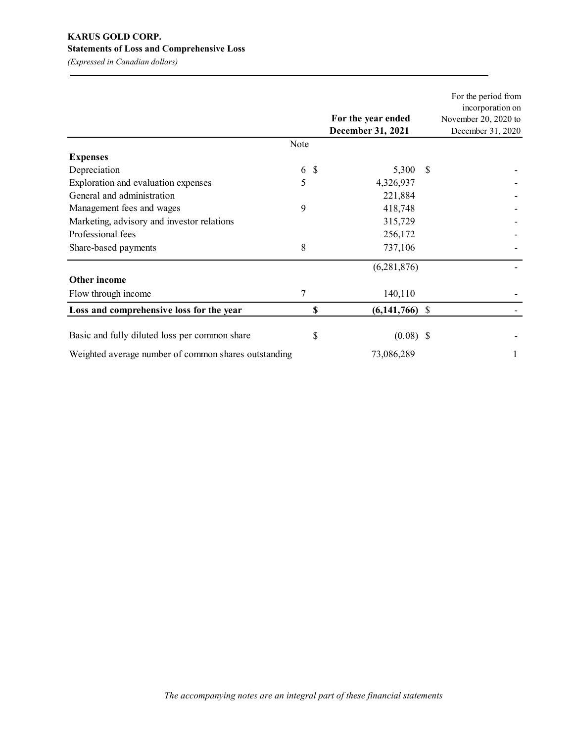|                                                      |      |               |                    |      | For the period from                      |
|------------------------------------------------------|------|---------------|--------------------|------|------------------------------------------|
|                                                      |      |               | For the year ended |      | incorporation on<br>November 20, 2020 to |
|                                                      |      |               | December 31, 2021  |      | December 31, 2020                        |
|                                                      | Note |               |                    |      |                                          |
| <b>Expenses</b>                                      |      |               |                    |      |                                          |
| Depreciation                                         | 6    | $\mathcal{S}$ | 5,300              | - \$ |                                          |
| Exploration and evaluation expenses                  | 5    |               | 4,326,937          |      |                                          |
| General and administration                           |      |               | 221,884            |      |                                          |
| Management fees and wages                            | 9    |               | 418,748            |      |                                          |
| Marketing, advisory and investor relations           |      |               | 315,729            |      |                                          |
| Professional fees                                    |      |               | 256,172            |      |                                          |
| Share-based payments                                 | 8    |               | 737,106            |      |                                          |
|                                                      |      |               | (6,281,876)        |      |                                          |
| <b>Other income</b>                                  |      |               |                    |      |                                          |
| Flow through income                                  | 7    |               | 140,110            |      |                                          |
| Loss and comprehensive loss for the year             |      | \$            | $(6,141,766)$ \$   |      |                                          |
| Basic and fully diluted loss per common share        |      | \$            | $(0.08)$ \$        |      |                                          |
| Weighted average number of common shares outstanding |      |               | 73,086,289         |      |                                          |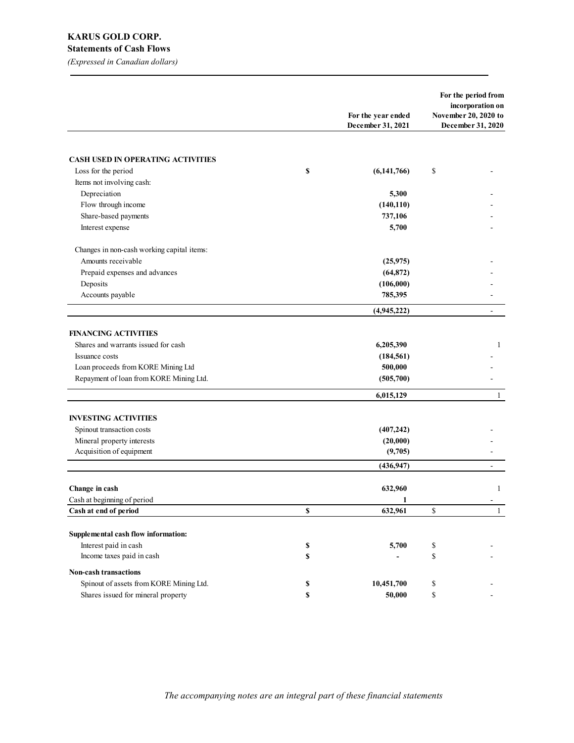|                                            |                                         | For the period from<br>incorporation on   |
|--------------------------------------------|-----------------------------------------|-------------------------------------------|
|                                            | For the year ended<br>December 31, 2021 | November 20, 2020 to<br>December 31, 2020 |
| <b>CASH USED IN OPERATING ACTIVITIES</b>   |                                         |                                           |
| Loss for the period                        | \$<br>(6,141,766)                       | \$                                        |
| Items not involving cash:                  |                                         |                                           |
| Depreciation                               | 5,300                                   |                                           |
| Flow through income                        | (140, 110)                              |                                           |
| Share-based payments                       | 737,106                                 |                                           |
| Interest expense                           | 5,700                                   |                                           |
| Changes in non-cash working capital items: |                                         |                                           |
| Amounts receivable                         | (25,975)                                |                                           |
| Prepaid expenses and advances              | (64, 872)                               |                                           |
| Deposits                                   | (106,000)                               |                                           |
| Accounts payable                           | 785,395                                 |                                           |
|                                            | (4,945,222)                             | $\blacksquare$                            |
| <b>FINANCING ACTIVITIES</b>                |                                         |                                           |
| Shares and warrants issued for cash        | 6,205,390                               | 1                                         |
| Issuance costs                             | (184, 561)                              |                                           |
| Loan proceeds from KORE Mining Ltd         | 500,000                                 |                                           |
| Repayment of loan from KORE Mining Ltd.    | (505,700)                               |                                           |
|                                            | 6,015,129                               | $\mathbf{1}$                              |
| <b>INVESTING ACTIVITIES</b>                |                                         |                                           |
| Spinout transaction costs                  | (407, 242)                              |                                           |
| Mineral property interests                 | (20,000)                                |                                           |
| Acquisition of equipment                   | (9,705)                                 |                                           |
|                                            | (436, 947)                              |                                           |
| Change in cash                             | 632,960                                 | $\mathbf{1}$                              |
| Cash at beginning of period                | 1                                       |                                           |
| Cash at end of period                      | \$<br>632,961                           | \$<br>$\mathbf{1}$                        |
| Supplemental cash flow information:        |                                         |                                           |
| Interest paid in cash                      | \$<br>5,700                             | \$                                        |
| Income taxes paid in cash                  | \$                                      | \$                                        |
| <b>Non-cash transactions</b>               |                                         |                                           |
| Spinout of assets from KORE Mining Ltd.    | \$<br>10,451,700                        | \$                                        |
| Shares issued for mineral property         | \$<br>50,000                            | \$                                        |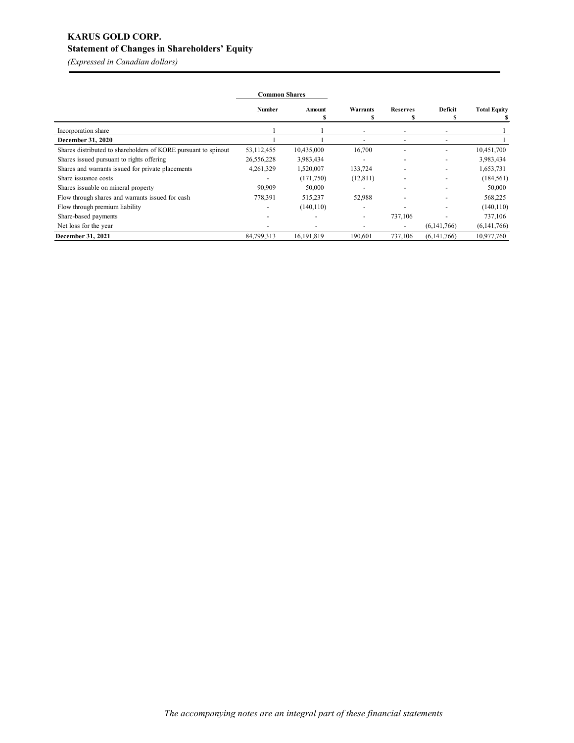# **KARUS GOLD CORP. Statement of Changes in Shareholders' Equity**

*(Expressed in Canadian dollars)*

|                                                                | <b>Common Shares</b> |            |           |                          |                          |                     |
|----------------------------------------------------------------|----------------------|------------|-----------|--------------------------|--------------------------|---------------------|
|                                                                | <b>Number</b>        | Amount     | Warrants  | <b>Reserves</b>          | <b>Deficit</b>           | <b>Total Equity</b> |
|                                                                |                      | x          | S         |                          | S                        |                     |
| Incorporation share                                            |                      |            |           | $\overline{\phantom{0}}$ |                          |                     |
| December 31, 2020                                              |                      |            |           | $\overline{\phantom{0}}$ | -                        |                     |
| Shares distributed to shareholders of KORE pursuant to spinout | 53,112,455           | 10,435,000 | 16,700    | ٠                        |                          | 10,451,700          |
| Shares issued pursuant to rights offering                      | 26,556,228           | 3,983,434  |           | ٠                        | $\overline{\phantom{0}}$ | 3,983,434           |
| Shares and warrants issued for private placements              | 4,261,329            | 1,520,007  | 133,724   | $\overline{\phantom{a}}$ |                          | 1,653,731           |
| Share issuance costs                                           |                      | (171,750)  | (12, 811) | $\overline{\phantom{a}}$ | -                        | (184, 561)          |
| Shares issuable on mineral property                            | 90,909               | 50,000     |           | $\overline{\phantom{0}}$ |                          | 50,000              |
| Flow through shares and warrants issued for cash               | 778,391              | 515,237    | 52,988    |                          |                          | 568,225             |
| Flow through premium liability                                 |                      | (140, 110) |           | ٠                        | $\overline{\phantom{0}}$ | (140, 110)          |
| Share-based payments                                           |                      |            | -         | 737,106                  |                          | 737,106             |
| Net loss for the year                                          |                      |            |           | $\overline{\phantom{a}}$ | (6,141,766)              | (6,141,766)         |
| December 31, 2021                                              | 84,799,313           | 16,191,819 | 190,601   | 737,106                  | (6,141,766)              | 10,977,760          |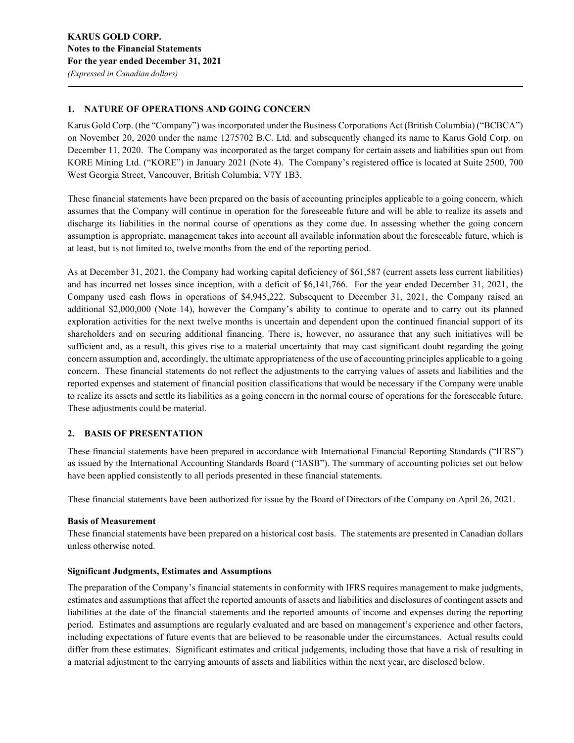## **1. NATURE OF OPERATIONS AND GOING CONCERN**

Karus Gold Corp. (the "Company") was incorporated under the Business Corporations Act (British Columbia) ("BCBCA") on November 20, 2020 under the name 1275702 B.C. Ltd. and subsequently changed its name to Karus Gold Corp. on December 11, 2020. The Company was incorporated as the target company for certain assets and liabilities spun out from KORE Mining Ltd. ("KORE") in January 2021 (Note 4). The Company's registered office is located at Suite 2500, 700 West Georgia Street, Vancouver, British Columbia, V7Y 1B3.

These financial statements have been prepared on the basis of accounting principles applicable to a going concern, which assumes that the Company will continue in operation for the foreseeable future and will be able to realize its assets and discharge its liabilities in the normal course of operations as they come due. In assessing whether the going concern assumption is appropriate, management takes into account all available information about the foreseeable future, which is at least, but is not limited to, twelve months from the end of the reporting period.

As at December 31, 2021, the Company had working capital deficiency of \$61,587 (current assets less current liabilities) and has incurred net losses since inception, with a deficit of \$6,141,766. For the year ended December 31, 2021, the Company used cash flows in operations of \$4,945,222. Subsequent to December 31, 2021, the Company raised an additional \$2,000,000 (Note 14), however the Company's ability to continue to operate and to carry out its planned exploration activities for the next twelve months is uncertain and dependent upon the continued financial support of its shareholders and on securing additional financing. There is, however, no assurance that any such initiatives will be sufficient and, as a result, this gives rise to a material uncertainty that may cast significant doubt regarding the going concern assumption and, accordingly, the ultimate appropriateness of the use of accounting principles applicable to a going concern. These financial statements do not reflect the adjustments to the carrying values of assets and liabilities and the reported expenses and statement of financial position classifications that would be necessary if the Company were unable to realize its assets and settle its liabilities as a going concern in the normal course of operations for the foreseeable future. These adjustments could be material.

# **2. BASIS OF PRESENTATION**

These financial statements have been prepared in accordance with International Financial Reporting Standards ("IFRS") as issued by the International Accounting Standards Board ("IASB"). The summary of accounting policies set out below have been applied consistently to all periods presented in these financial statements.

These financial statements have been authorized for issue by the Board of Directors of the Company on April 26, 2021.

#### **Basis of Measurement**

These financial statements have been prepared on a historical cost basis. The statements are presented in Canadian dollars unless otherwise noted.

#### **Significant Judgments, Estimates and Assumptions**

The preparation of the Company's financial statements in conformity with IFRS requires management to make judgments, estimates and assumptions that affect the reported amounts of assets and liabilities and disclosures of contingent assets and liabilities at the date of the financial statements and the reported amounts of income and expenses during the reporting period. Estimates and assumptions are regularly evaluated and are based on management's experience and other factors, including expectations of future events that are believed to be reasonable under the circumstances. Actual results could differ from these estimates. Significant estimates and critical judgements, including those that have a risk of resulting in a material adjustment to the carrying amounts of assets and liabilities within the next year, are disclosed below.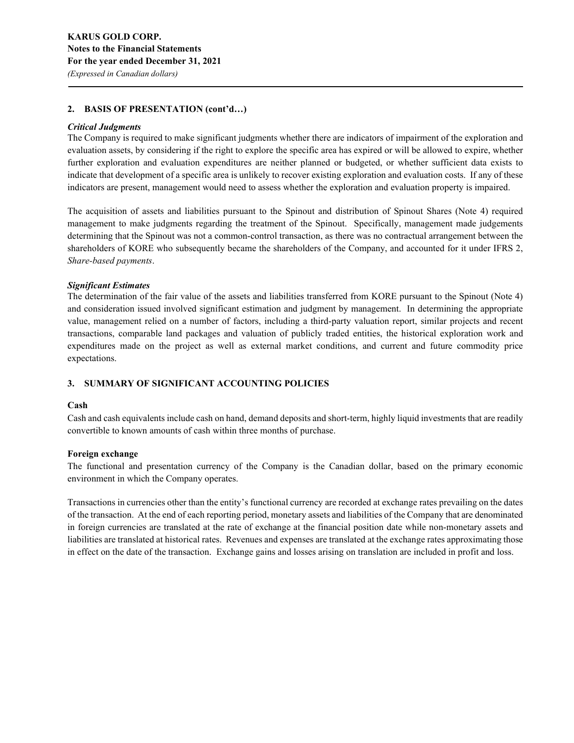#### **2. BASIS OF PRESENTATION (cont'd…)**

#### *Critical Judgments*

The Company is required to make significant judgments whether there are indicators of impairment of the exploration and evaluation assets, by considering if the right to explore the specific area has expired or will be allowed to expire, whether further exploration and evaluation expenditures are neither planned or budgeted, or whether sufficient data exists to indicate that development of a specific area is unlikely to recover existing exploration and evaluation costs. If any of these indicators are present, management would need to assess whether the exploration and evaluation property is impaired.

The acquisition of assets and liabilities pursuant to the Spinout and distribution of Spinout Shares (Note 4) required management to make judgments regarding the treatment of the Spinout. Specifically, management made judgements determining that the Spinout was not a common-control transaction, as there was no contractual arrangement between the shareholders of KORE who subsequently became the shareholders of the Company, and accounted for it under IFRS 2, *Share-based payments*.

#### *Significant Estimates*

The determination of the fair value of the assets and liabilities transferred from KORE pursuant to the Spinout (Note 4) and consideration issued involved significant estimation and judgment by management. In determining the appropriate value, management relied on a number of factors, including a third-party valuation report, similar projects and recent transactions, comparable land packages and valuation of publicly traded entities, the historical exploration work and expenditures made on the project as well as external market conditions, and current and future commodity price expectations.

# **3. SUMMARY OF SIGNIFICANT ACCOUNTING POLICIES**

#### **Cash**

Cash and cash equivalents include cash on hand, demand deposits and short-term, highly liquid investments that are readily convertible to known amounts of cash within three months of purchase.

#### **Foreign exchange**

The functional and presentation currency of the Company is the Canadian dollar, based on the primary economic environment in which the Company operates.

Transactions in currencies other than the entity's functional currency are recorded at exchange rates prevailing on the dates of the transaction. At the end of each reporting period, monetary assets and liabilities of the Company that are denominated in foreign currencies are translated at the rate of exchange at the financial position date while non-monetary assets and liabilities are translated at historical rates. Revenues and expenses are translated at the exchange rates approximating those in effect on the date of the transaction. Exchange gains and losses arising on translation are included in profit and loss.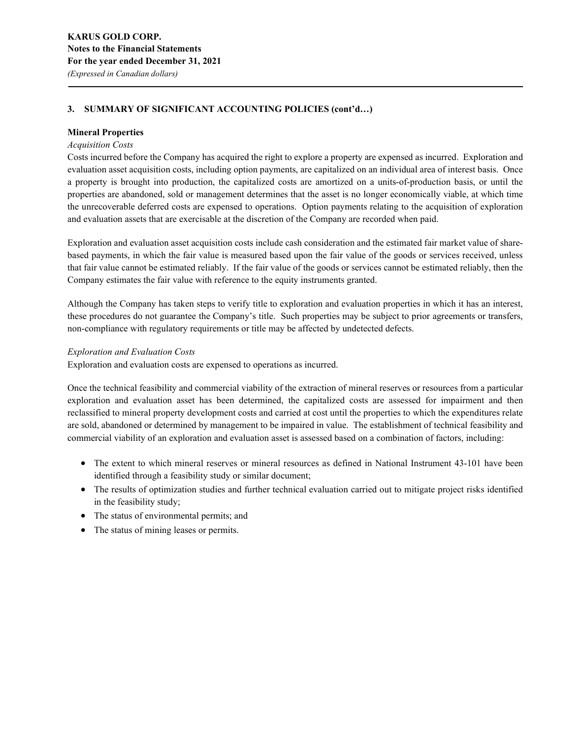# **3. SUMMARY OF SIGNIFICANT ACCOUNTING POLICIES (cont'd…)**

#### **Mineral Properties**

#### *Acquisition Costs*

Costs incurred before the Company has acquired the right to explore a property are expensed as incurred. Exploration and evaluation asset acquisition costs, including option payments, are capitalized on an individual area of interest basis. Once a property is brought into production, the capitalized costs are amortized on a units-of-production basis, or until the properties are abandoned, sold or management determines that the asset is no longer economically viable, at which time the unrecoverable deferred costs are expensed to operations. Option payments relating to the acquisition of exploration and evaluation assets that are exercisable at the discretion of the Company are recorded when paid.

Exploration and evaluation asset acquisition costs include cash consideration and the estimated fair market value of sharebased payments, in which the fair value is measured based upon the fair value of the goods or services received, unless that fair value cannot be estimated reliably. If the fair value of the goods or services cannot be estimated reliably, then the Company estimates the fair value with reference to the equity instruments granted.

Although the Company has taken steps to verify title to exploration and evaluation properties in which it has an interest, these procedures do not guarantee the Company's title. Such properties may be subject to prior agreements or transfers, non-compliance with regulatory requirements or title may be affected by undetected defects.

#### *Exploration and Evaluation Costs*

Exploration and evaluation costs are expensed to operations as incurred.

Once the technical feasibility and commercial viability of the extraction of mineral reserves or resources from a particular exploration and evaluation asset has been determined, the capitalized costs are assessed for impairment and then reclassified to mineral property development costs and carried at cost until the properties to which the expenditures relate are sold, abandoned or determined by management to be impaired in value. The establishment of technical feasibility and commercial viability of an exploration and evaluation asset is assessed based on a combination of factors, including:

- The extent to which mineral reserves or mineral resources as defined in National Instrument 43-101 have been identified through a feasibility study or similar document;
- The results of optimization studies and further technical evaluation carried out to mitigate project risks identified in the feasibility study;
- The status of environmental permits; and
- The status of mining leases or permits.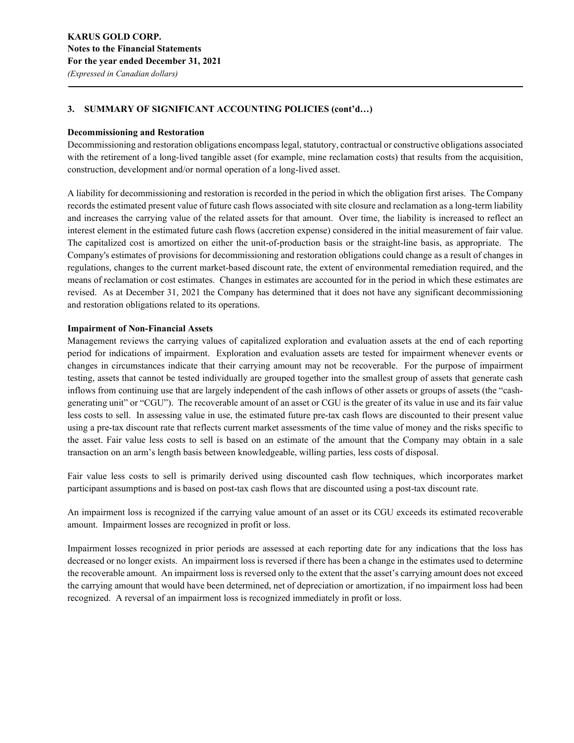# **3. SUMMARY OF SIGNIFICANT ACCOUNTING POLICIES (cont'd…)**

#### **Decommissioning and Restoration**

Decommissioning and restoration obligations encompass legal, statutory, contractual or constructive obligations associated with the retirement of a long-lived tangible asset (for example, mine reclamation costs) that results from the acquisition, construction, development and/or normal operation of a long-lived asset.

A liability for decommissioning and restoration is recorded in the period in which the obligation first arises. The Company records the estimated present value of future cash flows associated with site closure and reclamation as a long-term liability and increases the carrying value of the related assets for that amount. Over time, the liability is increased to reflect an interest element in the estimated future cash flows (accretion expense) considered in the initial measurement of fair value. The capitalized cost is amortized on either the unit-of-production basis or the straight-line basis, as appropriate. The Company's estimates of provisions for decommissioning and restoration obligations could change as a result of changes in regulations, changes to the current market-based discount rate, the extent of environmental remediation required, and the means of reclamation or cost estimates. Changes in estimates are accounted for in the period in which these estimates are revised. As at December 31, 2021 the Company has determined that it does not have any significant decommissioning and restoration obligations related to its operations.

#### **Impairment of Non-Financial Assets**

Management reviews the carrying values of capitalized exploration and evaluation assets at the end of each reporting period for indications of impairment. Exploration and evaluation assets are tested for impairment whenever events or changes in circumstances indicate that their carrying amount may not be recoverable. For the purpose of impairment testing, assets that cannot be tested individually are grouped together into the smallest group of assets that generate cash inflows from continuing use that are largely independent of the cash inflows of other assets or groups of assets (the "cashgenerating unit" or "CGU"). The recoverable amount of an asset or CGU is the greater of its value in use and its fair value less costs to sell. In assessing value in use, the estimated future pre-tax cash flows are discounted to their present value using a pre-tax discount rate that reflects current market assessments of the time value of money and the risks specific to the asset. Fair value less costs to sell is based on an estimate of the amount that the Company may obtain in a sale transaction on an arm's length basis between knowledgeable, willing parties, less costs of disposal.

Fair value less costs to sell is primarily derived using discounted cash flow techniques, which incorporates market participant assumptions and is based on post-tax cash flows that are discounted using a post-tax discount rate.

An impairment loss is recognized if the carrying value amount of an asset or its CGU exceeds its estimated recoverable amount. Impairment losses are recognized in profit or loss.

Impairment losses recognized in prior periods are assessed at each reporting date for any indications that the loss has decreased or no longer exists. An impairment loss is reversed if there has been a change in the estimates used to determine the recoverable amount. An impairment loss is reversed only to the extent that the asset's carrying amount does not exceed the carrying amount that would have been determined, net of depreciation or amortization, if no impairment loss had been recognized. A reversal of an impairment loss is recognized immediately in profit or loss.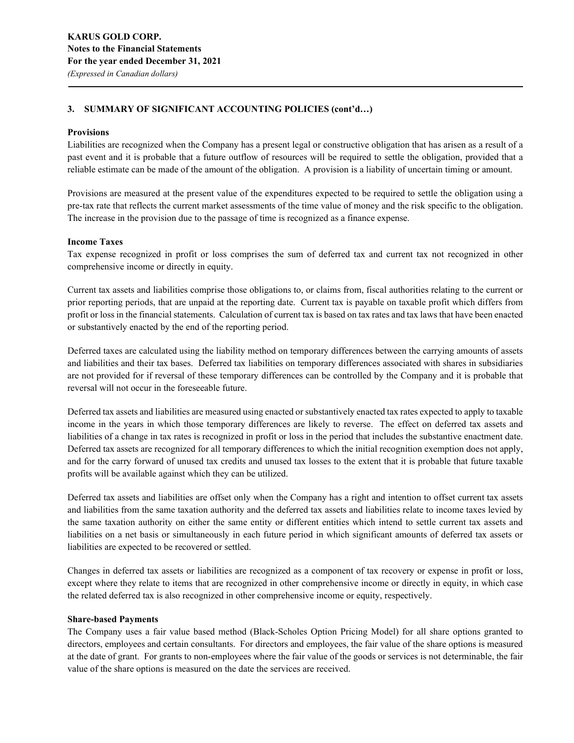# **3. SUMMARY OF SIGNIFICANT ACCOUNTING POLICIES (cont'd…)**

#### **Provisions**

Liabilities are recognized when the Company has a present legal or constructive obligation that has arisen as a result of a past event and it is probable that a future outflow of resources will be required to settle the obligation, provided that a reliable estimate can be made of the amount of the obligation. A provision is a liability of uncertain timing or amount.

Provisions are measured at the present value of the expenditures expected to be required to settle the obligation using a pre-tax rate that reflects the current market assessments of the time value of money and the risk specific to the obligation. The increase in the provision due to the passage of time is recognized as a finance expense.

#### **Income Taxes**

Tax expense recognized in profit or loss comprises the sum of deferred tax and current tax not recognized in other comprehensive income or directly in equity.

Current tax assets and liabilities comprise those obligations to, or claims from, fiscal authorities relating to the current or prior reporting periods, that are unpaid at the reporting date. Current tax is payable on taxable profit which differs from profit or loss in the financial statements. Calculation of current tax is based on tax rates and tax laws that have been enacted or substantively enacted by the end of the reporting period.

Deferred taxes are calculated using the liability method on temporary differences between the carrying amounts of assets and liabilities and their tax bases. Deferred tax liabilities on temporary differences associated with shares in subsidiaries are not provided for if reversal of these temporary differences can be controlled by the Company and it is probable that reversal will not occur in the foreseeable future.

Deferred tax assets and liabilities are measured using enacted or substantively enacted tax rates expected to apply to taxable income in the years in which those temporary differences are likely to reverse. The effect on deferred tax assets and liabilities of a change in tax rates is recognized in profit or loss in the period that includes the substantive enactment date. Deferred tax assets are recognized for all temporary differences to which the initial recognition exemption does not apply, and for the carry forward of unused tax credits and unused tax losses to the extent that it is probable that future taxable profits will be available against which they can be utilized.

Deferred tax assets and liabilities are offset only when the Company has a right and intention to offset current tax assets and liabilities from the same taxation authority and the deferred tax assets and liabilities relate to income taxes levied by the same taxation authority on either the same entity or different entities which intend to settle current tax assets and liabilities on a net basis or simultaneously in each future period in which significant amounts of deferred tax assets or liabilities are expected to be recovered or settled.

Changes in deferred tax assets or liabilities are recognized as a component of tax recovery or expense in profit or loss, except where they relate to items that are recognized in other comprehensive income or directly in equity, in which case the related deferred tax is also recognized in other comprehensive income or equity, respectively.

#### **Share-based Payments**

The Company uses a fair value based method (Black-Scholes Option Pricing Model) for all share options granted to directors, employees and certain consultants. For directors and employees, the fair value of the share options is measured at the date of grant. For grants to non-employees where the fair value of the goods or services is not determinable, the fair value of the share options is measured on the date the services are received.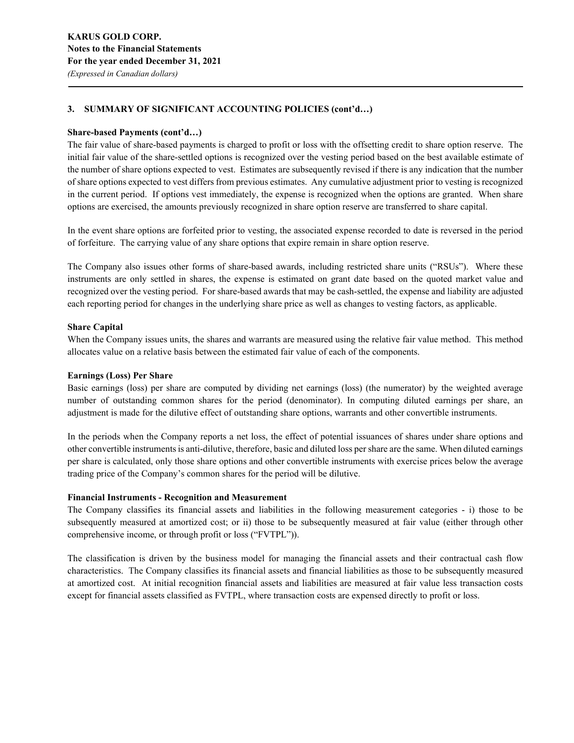# **3. SUMMARY OF SIGNIFICANT ACCOUNTING POLICIES (cont'd…)**

#### **Share-based Payments (cont'd…)**

The fair value of share-based payments is charged to profit or loss with the offsetting credit to share option reserve. The initial fair value of the share-settled options is recognized over the vesting period based on the best available estimate of the number of share options expected to vest. Estimates are subsequently revised if there is any indication that the number of share options expected to vest differs from previous estimates. Any cumulative adjustment prior to vesting is recognized in the current period. If options vest immediately, the expense is recognized when the options are granted. When share options are exercised, the amounts previously recognized in share option reserve are transferred to share capital.

In the event share options are forfeited prior to vesting, the associated expense recorded to date is reversed in the period of forfeiture. The carrying value of any share options that expire remain in share option reserve.

The Company also issues other forms of share-based awards, including restricted share units ("RSUs"). Where these instruments are only settled in shares, the expense is estimated on grant date based on the quoted market value and recognized over the vesting period. For share-based awards that may be cash-settled, the expense and liability are adjusted each reporting period for changes in the underlying share price as well as changes to vesting factors, as applicable.

#### **Share Capital**

When the Company issues units, the shares and warrants are measured using the relative fair value method. This method allocates value on a relative basis between the estimated fair value of each of the components.

#### **Earnings (Loss) Per Share**

Basic earnings (loss) per share are computed by dividing net earnings (loss) (the numerator) by the weighted average number of outstanding common shares for the period (denominator). In computing diluted earnings per share, an adjustment is made for the dilutive effect of outstanding share options, warrants and other convertible instruments.

In the periods when the Company reports a net loss, the effect of potential issuances of shares under share options and other convertible instruments is anti-dilutive, therefore, basic and diluted loss per share are the same. When diluted earnings per share is calculated, only those share options and other convertible instruments with exercise prices below the average trading price of the Company's common shares for the period will be dilutive.

# **Financial Instruments - Recognition and Measurement**

The Company classifies its financial assets and liabilities in the following measurement categories - i) those to be subsequently measured at amortized cost; or ii) those to be subsequently measured at fair value (either through other comprehensive income, or through profit or loss ("FVTPL")).

The classification is driven by the business model for managing the financial assets and their contractual cash flow characteristics. The Company classifies its financial assets and financial liabilities as those to be subsequently measured at amortized cost. At initial recognition financial assets and liabilities are measured at fair value less transaction costs except for financial assets classified as FVTPL, where transaction costs are expensed directly to profit or loss.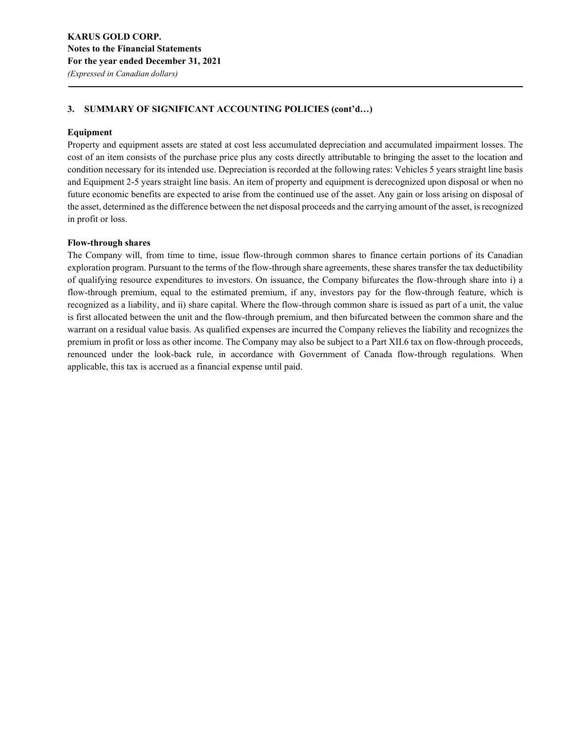# **3. SUMMARY OF SIGNIFICANT ACCOUNTING POLICIES (cont'd…)**

#### **Equipment**

Property and equipment assets are stated at cost less accumulated depreciation and accumulated impairment losses. The cost of an item consists of the purchase price plus any costs directly attributable to bringing the asset to the location and condition necessary for its intended use. Depreciation is recorded at the following rates: Vehicles 5 years straight line basis and Equipment 2-5 years straight line basis. An item of property and equipment is derecognized upon disposal or when no future economic benefits are expected to arise from the continued use of the asset. Any gain or loss arising on disposal of the asset, determined as the difference between the net disposal proceeds and the carrying amount of the asset, is recognized in profit or loss.

#### **Flow-through shares**

The Company will, from time to time, issue flow-through common shares to finance certain portions of its Canadian exploration program. Pursuant to the terms of the flow-through share agreements, these shares transfer the tax deductibility of qualifying resource expenditures to investors. On issuance, the Company bifurcates the flow-through share into i) a flow-through premium, equal to the estimated premium, if any, investors pay for the flow-through feature, which is recognized as a liability, and ii) share capital. Where the flow-through common share is issued as part of a unit, the value is first allocated between the unit and the flow-through premium, and then bifurcated between the common share and the warrant on a residual value basis. As qualified expenses are incurred the Company relieves the liability and recognizes the premium in profit or loss as other income. The Company may also be subject to a Part XII.6 tax on flow-through proceeds, renounced under the look-back rule, in accordance with Government of Canada flow-through regulations. When applicable, this tax is accrued as a financial expense until paid.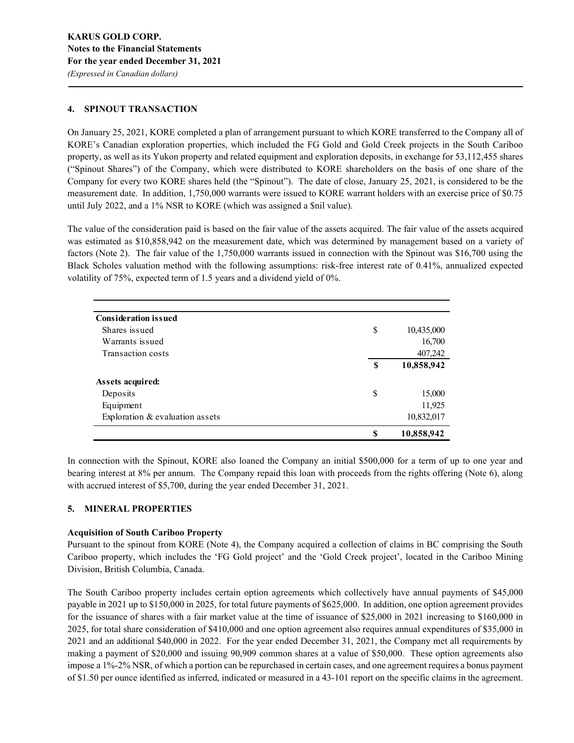#### **4. SPINOUT TRANSACTION**

On January 25, 2021, KORE completed a plan of arrangement pursuant to which KORE transferred to the Company all of KORE's Canadian exploration properties, which included the FG Gold and Gold Creek projects in the South Cariboo property, as well as its Yukon property and related equipment and exploration deposits, in exchange for 53,112,455 shares ("Spinout Shares") of the Company, which were distributed to KORE shareholders on the basis of one share of the Company for every two KORE shares held (the "Spinout"). The date of close, January 25, 2021, is considered to be the measurement date. In addition, 1,750,000 warrants were issued to KORE warrant holders with an exercise price of \$0.75 until July 2022, and a 1% NSR to KORE (which was assigned a \$nil value).

The value of the consideration paid is based on the fair value of the assets acquired. The fair value of the assets acquired was estimated as \$10,858,942 on the measurement date, which was determined by management based on a variety of factors (Note 2). The fair value of the 1,750,000 warrants issued in connection with the Spinout was \$16,700 using the Black Scholes valuation method with the following assumptions: risk-free interest rate of 0.41%, annualized expected volatility of 75%, expected term of 1.5 years and a dividend yield of 0%.

|                                 | \$ | 10,858,942 |
|---------------------------------|----|------------|
| Exploration & evaluation assets |    | 10,832,017 |
| Equipment                       |    | 11,925     |
| Deposits                        | \$ | 15,000     |
| Assets acquired:                |    |            |
|                                 | S  | 10,858,942 |
| Transaction costs               |    | 407,242    |
| Warrants issued                 |    | 16,700     |
| Shares issued                   | \$ | 10,435,000 |
| <b>Consideration issued</b>     |    |            |

In connection with the Spinout, KORE also loaned the Company an initial \$500,000 for a term of up to one year and bearing interest at 8% per annum. The Company repaid this loan with proceeds from the rights offering (Note 6), along with accrued interest of \$5,700, during the year ended December 31, 2021.

# **5. MINERAL PROPERTIES**

#### **Acquisition of South Cariboo Property**

Pursuant to the spinout from KORE (Note 4), the Company acquired a collection of claims in BC comprising the South Cariboo property, which includes the 'FG Gold project' and the 'Gold Creek project', located in the Cariboo Mining Division, British Columbia, Canada.

The South Cariboo property includes certain option agreements which collectively have annual payments of \$45,000 payable in 2021 up to \$150,000 in 2025, for total future payments of \$625,000. In addition, one option agreement provides for the issuance of shares with a fair market value at the time of issuance of \$25,000 in 2021 increasing to \$160,000 in 2025, for total share consideration of \$410,000 and one option agreement also requires annual expenditures of \$35,000 in 2021 and an additional \$40,000 in 2022. For the year ended December 31, 2021, the Company met all requirements by making a payment of \$20,000 and issuing 90,909 common shares at a value of \$50,000. These option agreements also impose a 1%-2% NSR, of which a portion can be repurchased in certain cases, and one agreement requires a bonus payment of \$1.50 per ounce identified as inferred, indicated or measured in a 43-101 report on the specific claims in the agreement.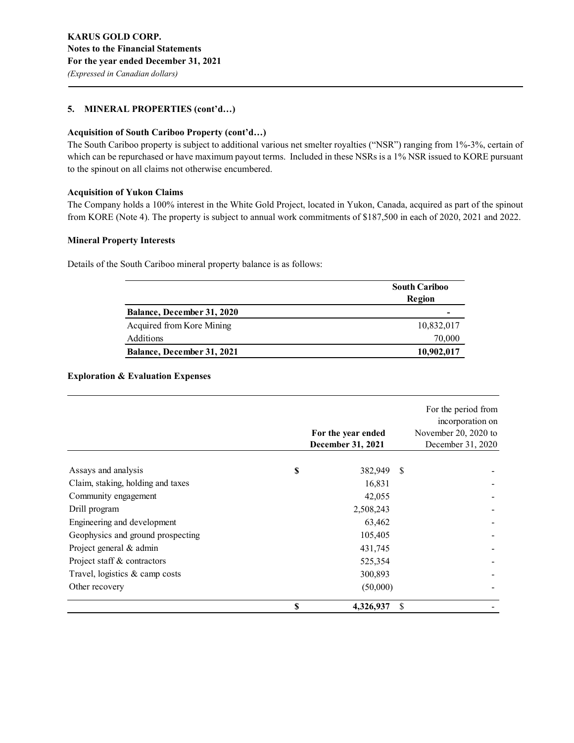# **5. MINERAL PROPERTIES (cont'd…)**

#### **Acquisition of South Cariboo Property (cont'd…)**

The South Cariboo property is subject to additional various net smelter royalties ("NSR") ranging from 1%-3%, certain of which can be repurchased or have maximum payout terms. Included in these NSRs is a 1% NSR issued to KORE pursuant to the spinout on all claims not otherwise encumbered.

#### **Acquisition of Yukon Claims**

The Company holds a 100% interest in the White Gold Project, located in Yukon, Canada, acquired as part of the spinout from KORE (Note 4). The property is subject to annual work commitments of \$187,500 in each of 2020, 2021 and 2022.

#### **Mineral Property Interests**

Details of the South Cariboo mineral property balance is as follows:

|                                   | <b>South Cariboo</b><br>Region |
|-----------------------------------|--------------------------------|
| <b>Balance, December 31, 2020</b> | -                              |
| Acquired from Kore Mining         | 10,832,017                     |
| <b>Additions</b>                  | 70,000                         |
| Balance, December 31, 2021        | 10,902,017                     |

# **Exploration & Evaluation Expenses**

|                                   |   | For the year ended<br>December 31, 2021 |    | For the period from<br>incorporation on<br>November 20, 2020 to<br>December 31, 2020 |
|-----------------------------------|---|-----------------------------------------|----|--------------------------------------------------------------------------------------|
| Assays and analysis               | S | 382,949                                 | -S |                                                                                      |
| Claim, staking, holding and taxes |   | 16,831                                  |    |                                                                                      |
| Community engagement              |   | 42,055                                  |    |                                                                                      |
| Drill program                     |   | 2,508,243                               |    |                                                                                      |
| Engineering and development       |   | 63,462                                  |    |                                                                                      |
| Geophysics and ground prospecting |   | 105,405                                 |    |                                                                                      |
| Project general & admin           |   | 431,745                                 |    |                                                                                      |
| Project staff & contractors       |   | 525,354                                 |    |                                                                                      |
| Travel, logistics & camp costs    |   | 300,893                                 |    |                                                                                      |
| Other recovery                    |   | (50,000)                                |    |                                                                                      |
|                                   | S | 4,326,937                               | \$ |                                                                                      |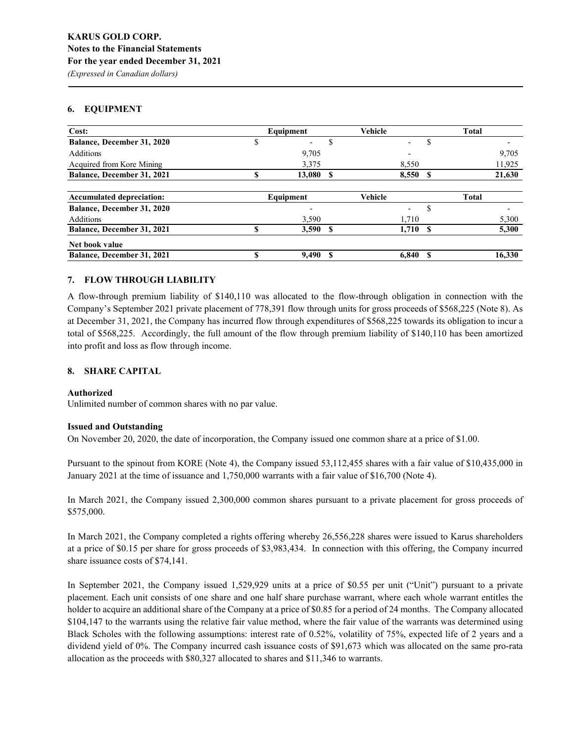# **6. EQUIPMENT**

| Cost:                            |    | Equipment |   | Vehicle                  |   | <b>T</b> otal |        |
|----------------------------------|----|-----------|---|--------------------------|---|---------------|--------|
| Balance, December 31, 2020       | ۰Δ |           | Ф | $\overline{\phantom{0}}$ | S |               |        |
| <b>Additions</b>                 |    | 9,705     |   |                          |   |               | 9.705  |
| Acquired from Kore Mining        |    | 3.375     |   | 8.550                    |   |               | 11,925 |
| Balance, December 31, 2021       |    | 13,080    | S | 8,550                    | S |               | 21,630 |
| <b>Accumulated depreciation:</b> |    | Equipment |   | Vehicle                  |   | <b>Total</b>  |        |
| Balance, December 31, 2020       |    |           |   | $\overline{\phantom{0}}$ | S |               |        |
| <b>Additions</b>                 |    | 3,590     |   | 1,710                    |   |               | 5,300  |
| Balance, December 31, 2021       |    | 3,590     | S | 1,710                    | S |               | 5,300  |
| Net book value                   |    |           |   |                          |   |               |        |
| Balance, December 31, 2021       |    | 9,490     | S | 6,840                    | S |               | 16,330 |

# **7. FLOW THROUGH LIABILITY**

A flow-through premium liability of \$140,110 was allocated to the flow-through obligation in connection with the Company's September 2021 private placement of 778,391 flow through units for gross proceeds of \$568,225 (Note 8). As at December 31, 2021, the Company has incurred flow through expenditures of \$568,225 towards its obligation to incur a total of \$568,225. Accordingly, the full amount of the flow through premium liability of \$140,110 has been amortized into profit and loss as flow through income.

#### **8. SHARE CAPITAL**

#### **Authorized**

Unlimited number of common shares with no par value.

#### **Issued and Outstanding**

On November 20, 2020, the date of incorporation, the Company issued one common share at a price of \$1.00.

Pursuant to the spinout from KORE (Note 4), the Company issued 53,112,455 shares with a fair value of \$10,435,000 in January 2021 at the time of issuance and 1,750,000 warrants with a fair value of \$16,700 (Note 4).

In March 2021, the Company issued 2,300,000 common shares pursuant to a private placement for gross proceeds of \$575,000.

In March 2021, the Company completed a rights offering whereby 26,556,228 shares were issued to Karus shareholders at a price of \$0.15 per share for gross proceeds of \$3,983,434. In connection with this offering, the Company incurred share issuance costs of \$74,141.

In September 2021, the Company issued 1,529,929 units at a price of \$0.55 per unit ("Unit") pursuant to a private placement. Each unit consists of one share and one half share purchase warrant, where each whole warrant entitles the holder to acquire an additional share of the Company at a price of \$0.85 for a period of 24 months. The Company allocated \$104,147 to the warrants using the relative fair value method, where the fair value of the warrants was determined using Black Scholes with the following assumptions: interest rate of 0.52%, volatility of 75%, expected life of 2 years and a dividend yield of 0%. The Company incurred cash issuance costs of \$91,673 which was allocated on the same pro-rata allocation as the proceeds with \$80,327 allocated to shares and \$11,346 to warrants.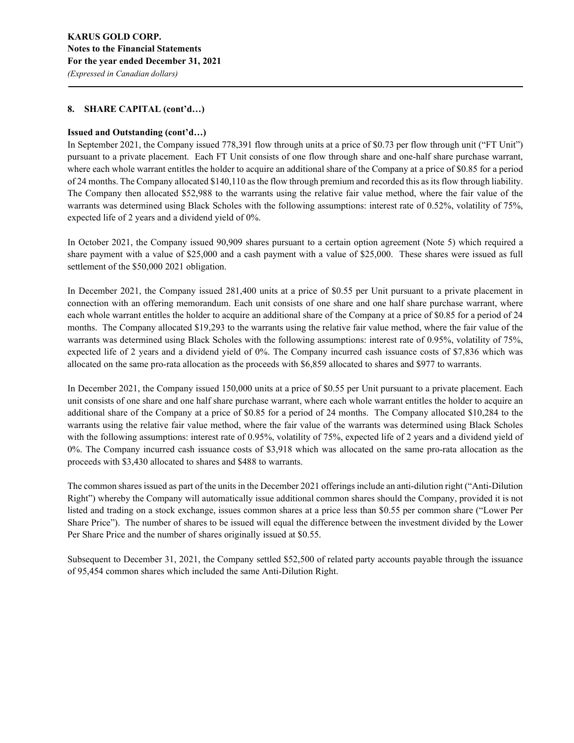#### **8. SHARE CAPITAL (cont'd…)**

#### **Issued and Outstanding (cont'd…)**

In September 2021, the Company issued 778,391 flow through units at a price of \$0.73 per flow through unit ("FT Unit") pursuant to a private placement. Each FT Unit consists of one flow through share and one-half share purchase warrant, where each whole warrant entitles the holder to acquire an additional share of the Company at a price of \$0.85 for a period of 24 months. The Company allocated \$140,110 as the flow through premium and recorded this as its flow through liability. The Company then allocated \$52,988 to the warrants using the relative fair value method, where the fair value of the warrants was determined using Black Scholes with the following assumptions: interest rate of 0.52%, volatility of 75%, expected life of 2 years and a dividend yield of 0%.

In October 2021, the Company issued 90,909 shares pursuant to a certain option agreement (Note 5) which required a share payment with a value of \$25,000 and a cash payment with a value of \$25,000. These shares were issued as full settlement of the \$50,000 2021 obligation.

In December 2021, the Company issued 281,400 units at a price of \$0.55 per Unit pursuant to a private placement in connection with an offering memorandum. Each unit consists of one share and one half share purchase warrant, where each whole warrant entitles the holder to acquire an additional share of the Company at a price of \$0.85 for a period of 24 months. The Company allocated \$19,293 to the warrants using the relative fair value method, where the fair value of the warrants was determined using Black Scholes with the following assumptions: interest rate of 0.95%, volatility of 75%, expected life of 2 years and a dividend yield of 0%. The Company incurred cash issuance costs of \$7,836 which was allocated on the same pro-rata allocation as the proceeds with \$6,859 allocated to shares and \$977 to warrants.

In December 2021, the Company issued 150,000 units at a price of \$0.55 per Unit pursuant to a private placement. Each unit consists of one share and one half share purchase warrant, where each whole warrant entitles the holder to acquire an additional share of the Company at a price of \$0.85 for a period of 24 months. The Company allocated \$10,284 to the warrants using the relative fair value method, where the fair value of the warrants was determined using Black Scholes with the following assumptions: interest rate of 0.95%, volatility of 75%, expected life of 2 years and a dividend yield of 0%. The Company incurred cash issuance costs of \$3,918 which was allocated on the same pro-rata allocation as the proceeds with \$3,430 allocated to shares and \$488 to warrants.

The common shares issued as part of the units in the December 2021 offerings include an anti-dilution right ("Anti-Dilution" Right") whereby the Company will automatically issue additional common shares should the Company, provided it is not listed and trading on a stock exchange, issues common shares at a price less than \$0.55 per common share ("Lower Per Share Price"). The number of shares to be issued will equal the difference between the investment divided by the Lower Per Share Price and the number of shares originally issued at \$0.55.

Subsequent to December 31, 2021, the Company settled \$52,500 of related party accounts payable through the issuance of 95,454 common shares which included the same Anti-Dilution Right.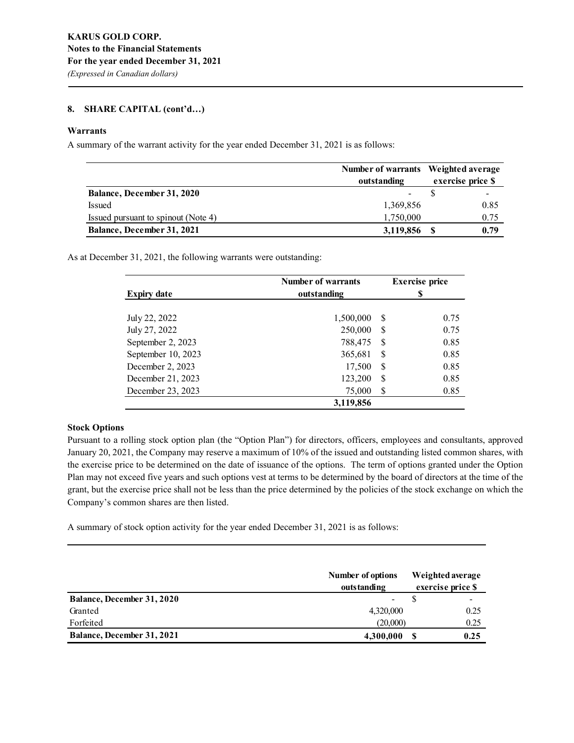# **8. SHARE CAPITAL (cont'd…)**

#### **Warrants**

A summary of the warrant activity for the year ended December 31, 2021 is as follows:

|                                     | Number of warrants Weighted average |                   |
|-------------------------------------|-------------------------------------|-------------------|
|                                     | outstanding                         | exercise price \$ |
| Balance, December 31, 2020          |                                     |                   |
| <b>Issued</b>                       | 1,369,856                           | 0.85              |
| Issued pursuant to spinout (Note 4) | 1,750,000                           | 0.75              |
| <b>Balance, December 31, 2021</b>   | 3,119,856                           | 0.79              |

As at December 31, 2021, the following warrants were outstanding:

| <b>Number of warrants</b> |             |               | <b>Exercise</b> price |
|---------------------------|-------------|---------------|-----------------------|
| <b>Expiry date</b>        | outstanding |               | S                     |
| July 22, 2022             | 1,500,000   | <sup>\$</sup> | 0.75                  |
| July 27, 2022             | 250,000     | <sup>S</sup>  | 0.75                  |
| September 2, 2023         | 788,475     | S             | 0.85                  |
| September 10, 2023        | 365,681     | S             | 0.85                  |
| December 2, 2023          | 17,500      | <sup>S</sup>  | 0.85                  |
| December 21, 2023         | 123,200     | S             | 0.85                  |
| December 23, 2023         | 75,000      | S             | 0.85                  |
|                           | 3,119,856   |               |                       |

## **Stock Options**

Pursuant to a rolling stock option plan (the "Option Plan") for directors, officers, employees and consultants, approved January 20, 2021, the Company may reserve a maximum of 10% of the issued and outstanding listed common shares, with the exercise price to be determined on the date of issuance of the options. The term of options granted under the Option Plan may not exceed five years and such options vest at terms to be determined by the board of directors at the time of the grant, but the exercise price shall not be less than the price determined by the policies of the stock exchange on which the Company's common shares are then listed.

A summary of stock option activity for the year ended December 31, 2021 is as follows:

|                                   | Number of options<br>outstanding | Weighted average<br>exercise price \$ |      |
|-----------------------------------|----------------------------------|---------------------------------------|------|
| <b>Balance, December 31, 2020</b> | -                                |                                       |      |
| Granted                           | 4,320,000                        |                                       | 0.25 |
| Forfeited                         | (20,000)                         |                                       | 0.25 |
| <b>Balance, December 31, 2021</b> | 4,300,000                        |                                       | 0.25 |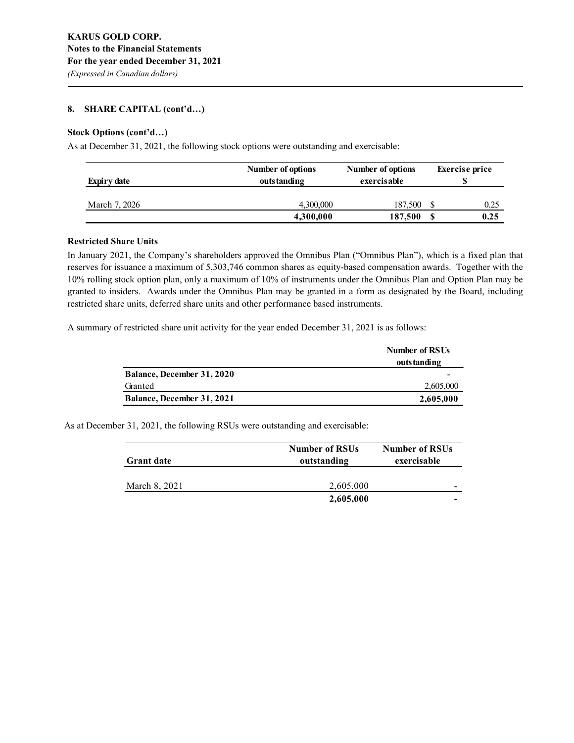## **8. SHARE CAPITAL (cont'd…)**

## **Stock Options (cont'd…)**

As at December 31, 2021, the following stock options were outstanding and exercisable:

|                    | Number of options | Number of options | <b>Exercise price</b> |
|--------------------|-------------------|-------------------|-----------------------|
| <b>Expiry date</b> | outstanding       | exercisable       |                       |
| March 7, 2026      | 4,300,000         | 187,500           | 0.25                  |
|                    | 4,300,000         | 187,500           | 0.25<br>S             |

#### **Restricted Share Units**

In January 2021, the Company's shareholders approved the Omnibus Plan ("Omnibus Plan"), which is a fixed plan that reserves for issuance a maximum of 5,303,746 common shares as equity-based compensation awards. Together with the 10% rolling stock option plan, only a maximum of 10% of instruments under the Omnibus Plan and Option Plan may be granted to insiders. Awards under the Omnibus Plan may be granted in a form as designated by the Board, including restricted share units, deferred share units and other performance based instruments.

A summary of restricted share unit activity for the year ended December 31, 2021 is as follows:

|                                   | <b>Number of RSUs</b><br>outstanding |
|-----------------------------------|--------------------------------------|
| <b>Balance, December 31, 2020</b> |                                      |
| Granted                           | 2,605,000                            |
| <b>Balance, December 31, 2021</b> | 2,605,000                            |

As at December 31, 2021, the following RSUs were outstanding and exercisable:

|                   | <b>Number of RSUs</b> | <b>Number of RSUs</b> |
|-------------------|-----------------------|-----------------------|
| <b>Grant date</b> | outstanding           | exercisable           |
| March 8, 2021     | 2,605,000             | -                     |
|                   | 2,605,000             |                       |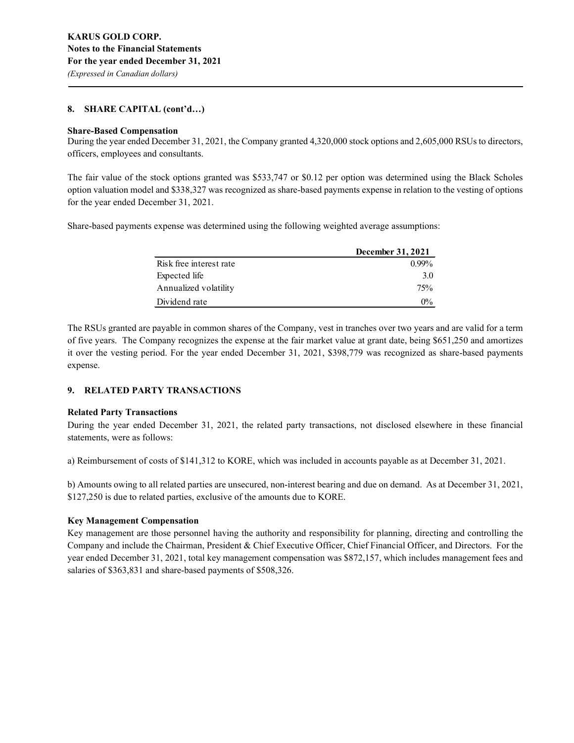#### **8. SHARE CAPITAL (cont'd…)**

#### **Share-Based Compensation**

During the year ended December 31, 2021, the Company granted 4,320,000 stock options and 2,605,000 RSUs to directors, officers, employees and consultants.

The fair value of the stock options granted was \$533,747 or \$0.12 per option was determined using the Black Scholes option valuation model and \$338,327 was recognized as share-based payments expense in relation to the vesting of options for the year ended December 31, 2021.

Share-based payments expense was determined using the following weighted average assumptions:

|                         | December 31, 2021 |
|-------------------------|-------------------|
| Risk free interest rate | $0.99\%$          |
| Expected life           | 3.0               |
| Annualized volatility   | 75%               |
| Dividend rate           | 0%                |

The RSUs granted are payable in common shares of the Company, vest in tranches over two years and are valid for a term of five years. The Company recognizes the expense at the fair market value at grant date, being \$651,250 and amortizes it over the vesting period. For the year ended December 31, 2021, \$398,779 was recognized as share-based payments expense.

# **9. RELATED PARTY TRANSACTIONS**

#### **Related Party Transactions**

During the year ended December 31, 2021, the related party transactions, not disclosed elsewhere in these financial statements, were as follows:

a) Reimbursement of costs of \$141,312 to KORE, which was included in accounts payable as at December 31, 2021.

b) Amounts owing to all related parties are unsecured, non-interest bearing and due on demand. As at December 31, 2021, \$127,250 is due to related parties, exclusive of the amounts due to KORE.

#### **Key Management Compensation**

Key management are those personnel having the authority and responsibility for planning, directing and controlling the Company and include the Chairman, President & Chief Executive Officer, Chief Financial Officer, and Directors. For the year ended December 31, 2021, total key management compensation was \$872,157, which includes management fees and salaries of \$363,831 and share-based payments of \$508,326.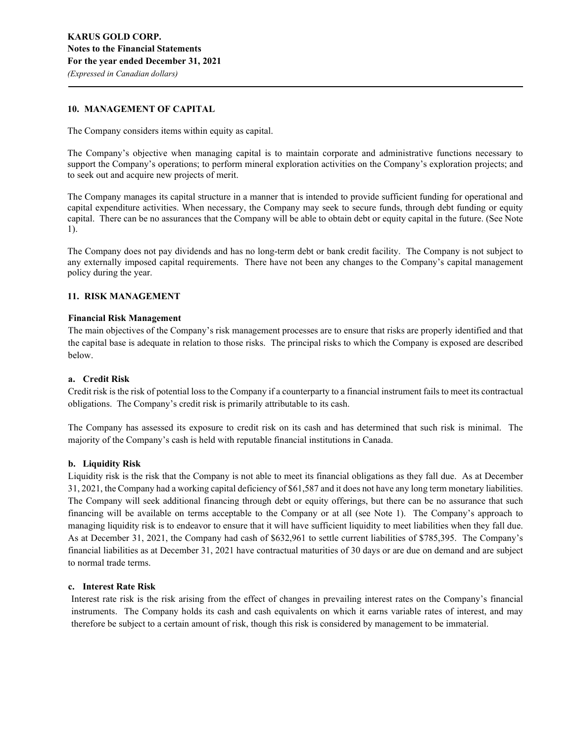#### **10. MANAGEMENT OF CAPITAL**

The Company considers items within equity as capital.

The Company's objective when managing capital is to maintain corporate and administrative functions necessary to support the Company's operations; to perform mineral exploration activities on the Company's exploration projects; and to seek out and acquire new projects of merit.

The Company manages its capital structure in a manner that is intended to provide sufficient funding for operational and capital expenditure activities. When necessary, the Company may seek to secure funds, through debt funding or equity capital. There can be no assurances that the Company will be able to obtain debt or equity capital in the future. (See Note 1).

The Company does not pay dividends and has no long-term debt or bank credit facility. The Company is not subject to any externally imposed capital requirements. There have not been any changes to the Company's capital management policy during the year.

#### **11. RISK MANAGEMENT**

#### **Financial Risk Management**

The main objectives of the Company's risk management processes are to ensure that risks are properly identified and that the capital base is adequate in relation to those risks. The principal risks to which the Company is exposed are described below.

#### **a. Credit Risk**

Credit risk is the risk of potential loss to the Company if a counterparty to a financial instrument fails to meet its contractual obligations. The Company's credit risk is primarily attributable to its cash.

The Company has assessed its exposure to credit risk on its cash and has determined that such risk is minimal. The majority of the Company's cash is held with reputable financial institutions in Canada.

## **b. Liquidity Risk**

Liquidity risk is the risk that the Company is not able to meet its financial obligations as they fall due. As at December 31, 2021, the Company had a working capital deficiency of \$61,587 and it does not have any long term monetary liabilities. The Company will seek additional financing through debt or equity offerings, but there can be no assurance that such financing will be available on terms acceptable to the Company or at all (see Note 1). The Company's approach to managing liquidity risk is to endeavor to ensure that it will have sufficient liquidity to meet liabilities when they fall due. As at December 31, 2021, the Company had cash of \$632,961 to settle current liabilities of \$785,395. The Company's financial liabilities as at December 31, 2021 have contractual maturities of 30 days or are due on demand and are subject to normal trade terms.

#### **c. Interest Rate Risk**

Interest rate risk is the risk arising from the effect of changes in prevailing interest rates on the Company's financial instruments. The Company holds its cash and cash equivalents on which it earns variable rates of interest, and may therefore be subject to a certain amount of risk, though this risk is considered by management to be immaterial.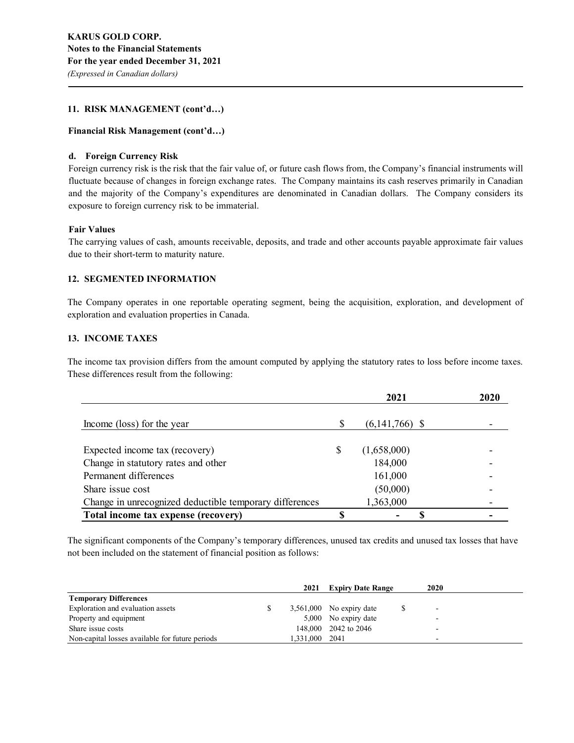# **11. RISK MANAGEMENT (cont'd…)**

#### **Financial Risk Management (cont'd…)**

#### **d. Foreign Currency Risk**

Foreign currency risk is the risk that the fair value of, or future cash flows from, the Company's financial instruments will fluctuate because of changes in foreign exchange rates. The Company maintains its cash reserves primarily in Canadian and the majority of the Company's expenditures are denominated in Canadian dollars. The Company considers its exposure to foreign currency risk to be immaterial.

#### **Fair Values**

The carrying values of cash, amounts receivable, deposits, and trade and other accounts payable approximate fair values due to their short-term to maturity nature.

# **12. SEGMENTED INFORMATION**

The Company operates in one reportable operating segment, being the acquisition, exploration, and development of exploration and evaluation properties in Canada.

## **13. INCOME TAXES**

The income tax provision differs from the amount computed by applying the statutory rates to loss before income taxes. These differences result from the following:

|                                                         |   | 2020             |  |
|---------------------------------------------------------|---|------------------|--|
|                                                         |   |                  |  |
| Income (loss) for the year                              |   | $(6,141,766)$ \$ |  |
|                                                         |   |                  |  |
| Expected income tax (recovery)                          | S | (1,658,000)      |  |
| Change in statutory rates and other                     |   | 184,000          |  |
| Permanent differences                                   |   | 161,000          |  |
| Share issue cost                                        |   | (50,000)         |  |
| Change in unrecognized deductible temporary differences |   | 1,363,000        |  |
| Total income tax expense (recovery)                     |   |                  |  |

The significant components of the Company's temporary differences, unused tax credits and unused tax losses that have not been included on the statement of financial position as follows:

|                                                 | 2021      | <b>Expiry Date Range</b>   | 2020                     |  |
|-------------------------------------------------|-----------|----------------------------|--------------------------|--|
| <b>Temporary Differences</b>                    |           |                            |                          |  |
| Exploration and evaluation assets               |           | $3,561,000$ No expiry date | $\overline{\phantom{0}}$ |  |
| Property and equipment                          |           | 5,000 No expiry date       |                          |  |
| Share issue costs                               |           | 148,000 2042 to 2046       | -                        |  |
| Non-capital losses available for future periods | 1.331.000 | -2041                      | -                        |  |